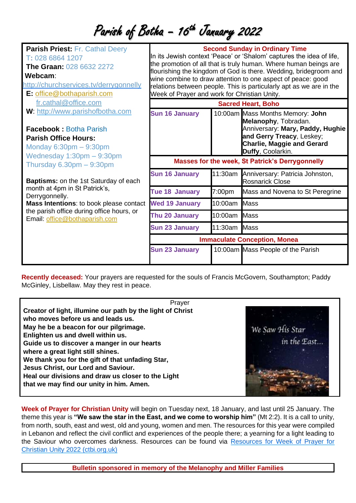## Parish of Botha - 16<sup>th</sup> January 2022

| <b>Parish Priest: Fr. Cathal Deery</b><br>T: 028 6864 1207<br><b>The Graan: 028 6632 2272</b><br>Webcam:<br>http://churchservices.tv/derrygonnelly<br>E: office@bothaparish.com | <b>Second Sunday in Ordinary Time</b><br>In its Jewish context 'Peace' or 'Shalom' captures the idea of life,<br>the promotion of all that is truly human. Where human beings are<br>flourishing the kingdom of God is there. Wedding, bridegroom and<br>wine combine to draw attention to one aspect of peace: good<br>relations between people. This is particularly apt as we are in the<br>Week of Prayer and work for Christian Unity. |                    |                                                                                                                                                                                     |
|---------------------------------------------------------------------------------------------------------------------------------------------------------------------------------|---------------------------------------------------------------------------------------------------------------------------------------------------------------------------------------------------------------------------------------------------------------------------------------------------------------------------------------------------------------------------------------------------------------------------------------------|--------------------|-------------------------------------------------------------------------------------------------------------------------------------------------------------------------------------|
| fr.cathal@office.com                                                                                                                                                            | <b>Sacred Heart, Boho</b>                                                                                                                                                                                                                                                                                                                                                                                                                   |                    |                                                                                                                                                                                     |
| W: http://www.parishofbotha.com<br><b>Facebook: Botha Parish</b><br><b>Parish Office Hours:</b><br>Monday $6:30pm - 9:30pm$                                                     | <b>Sun 16 January</b>                                                                                                                                                                                                                                                                                                                                                                                                                       |                    | 10:00am Mass Months Memory: John<br>Melanophy, Tobradan.<br>Anniversary: Mary, Paddy, Hughie<br>and Gerry Treacy, Leskey;<br><b>Charlie, Maggie and Gerard</b><br>Duffy, Coolarkin. |
| Wednesday $1:30$ pm $-9:30$ pm<br>Thursday $6.30 \text{pm} - 9:30 \text{pm}$                                                                                                    | <b>Masses for the week, St Patrick's Derrygonnelly</b>                                                                                                                                                                                                                                                                                                                                                                                      |                    |                                                                                                                                                                                     |
| <b>Baptisms:</b> on the 1st Saturday of each                                                                                                                                    | <b>Sun 16 January</b>                                                                                                                                                                                                                                                                                                                                                                                                                       |                    | 11:30am Anniversary: Patricia Johnston,<br><b>Rosnarick Close</b>                                                                                                                   |
| month at 4pm in St Patrick's,<br>Derrygonnelly.                                                                                                                                 | <b>Tue 18 January</b>                                                                                                                                                                                                                                                                                                                                                                                                                       | 7:00 <sub>pm</sub> | Mass and Novena to St Peregrine                                                                                                                                                     |
| Mass Intentions: to book please contact                                                                                                                                         | <b>Wed 19 January</b>                                                                                                                                                                                                                                                                                                                                                                                                                       | 10:00am            | <b>Mass</b>                                                                                                                                                                         |
| the parish office during office hours, or<br>Email: office@bothaparish.com                                                                                                      | Thu 20 January                                                                                                                                                                                                                                                                                                                                                                                                                              | 10:00am            | Mass                                                                                                                                                                                |
|                                                                                                                                                                                 | <b>Sun 23 January</b>                                                                                                                                                                                                                                                                                                                                                                                                                       | 11:30am            | <b>Mass</b>                                                                                                                                                                         |
|                                                                                                                                                                                 | <b>Immaculate Conception, Monea</b>                                                                                                                                                                                                                                                                                                                                                                                                         |                    |                                                                                                                                                                                     |
|                                                                                                                                                                                 | <b>Sun 23 January</b>                                                                                                                                                                                                                                                                                                                                                                                                                       |                    | 10:00am Mass People of the Parish                                                                                                                                                   |

**Recently deceased:** Your prayers are requested for the souls of Francis McGovern, Southampton; Paddy McGinley, Lisbellaw. May they rest in peace.

| Prayer                                                     |                 |
|------------------------------------------------------------|-----------------|
| Creator of light, illumine our path by the light of Christ |                 |
| who moves before us and leads us.                          |                 |
| May he be a beacon for our pilgrimage.                     | We Saw His Star |
| Enlighten us and dwell within us.                          |                 |
| Guide us to discover a manger in our hearts                |                 |
| where a great light still shines.                          |                 |
| We thank you for the gift of that unfading Star,           |                 |
| Jesus Christ, our Lord and Saviour.                        |                 |
| Heal our divisions and draw us closer to the Light         |                 |
| that we may find our unity in him. Amen.                   |                 |
|                                                            |                 |

**Week of Prayer for Christian Unity** will begin on Tuesday next, 18 January, and last until 25 January. The theme this year is **"We saw the star in the East, and we come to worship him"** (Mt 2:2). It is a call to unity, from north, south, east and west, old and young, women and men. The resources for this year were compiled in Lebanon and reflect the civil conflict and experiences of the people there; a yearning for a light leading to the Saviour who overcomes darkness. Resources can be found via [Resources for Week of Prayer for](https://ctbi.org.uk/resources-for-week-of-prayer-for-christian-unity-2022/)  [Christian Unity 2022 \(ctbi.org.uk\)](https://ctbi.org.uk/resources-for-week-of-prayer-for-christian-unity-2022/)

**Bulletin sponsored in memory of the Melanophy and Miller Families**